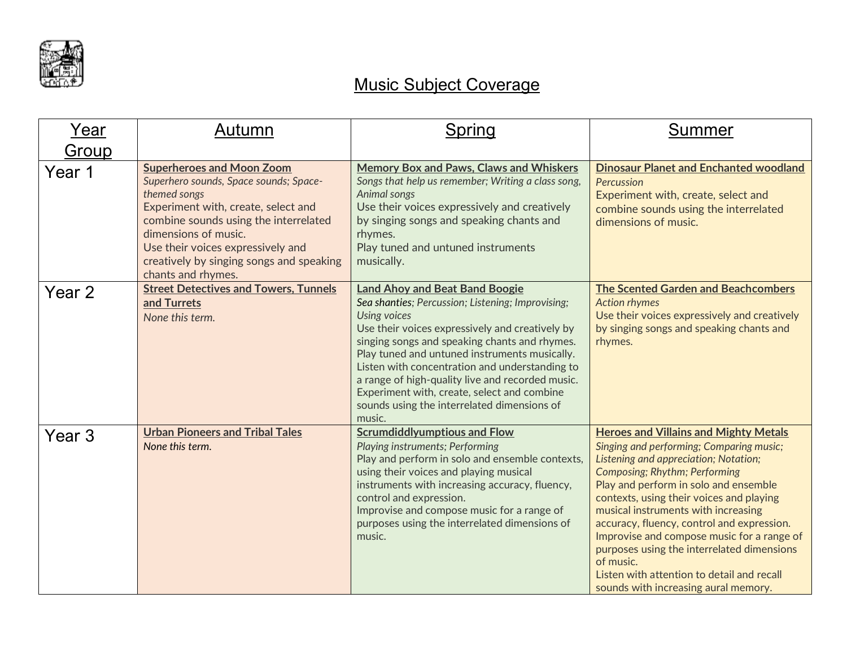

## Music Subject Coverage

| Year   | Autumn                                                                                                                                                                                                                                                                                                    | Spring                                                                                                                                                                                                                                                                                                                                                                                                                                                                               | <b>Summer</b>                                                                                                                                                                                                                                                                                                                                                                                                                                                                                                                               |
|--------|-----------------------------------------------------------------------------------------------------------------------------------------------------------------------------------------------------------------------------------------------------------------------------------------------------------|--------------------------------------------------------------------------------------------------------------------------------------------------------------------------------------------------------------------------------------------------------------------------------------------------------------------------------------------------------------------------------------------------------------------------------------------------------------------------------------|---------------------------------------------------------------------------------------------------------------------------------------------------------------------------------------------------------------------------------------------------------------------------------------------------------------------------------------------------------------------------------------------------------------------------------------------------------------------------------------------------------------------------------------------|
| Group  |                                                                                                                                                                                                                                                                                                           |                                                                                                                                                                                                                                                                                                                                                                                                                                                                                      |                                                                                                                                                                                                                                                                                                                                                                                                                                                                                                                                             |
| Year 1 | <b>Superheroes and Moon Zoom</b><br>Superhero sounds, Space sounds; Space-<br>themed songs<br>Experiment with, create, select and<br>combine sounds using the interrelated<br>dimensions of music.<br>Use their voices expressively and<br>creatively by singing songs and speaking<br>chants and rhymes. | <b>Memory Box and Paws, Claws and Whiskers</b><br>Songs that help us remember; Writing a class song,<br>Animal songs<br>Use their voices expressively and creatively<br>by singing songs and speaking chants and<br>rhymes.<br>Play tuned and untuned instruments<br>musically.                                                                                                                                                                                                      | <b>Dinosaur Planet and Enchanted woodland</b><br>Percussion<br>Experiment with, create, select and<br>combine sounds using the interrelated<br>dimensions of music.                                                                                                                                                                                                                                                                                                                                                                         |
| Year 2 | <b>Street Detectives and Towers, Tunnels</b><br>and Turrets<br>None this term.                                                                                                                                                                                                                            | <b>Land Ahoy and Beat Band Boogie</b><br>Sea shanties; Percussion; Listening; Improvising;<br><b>Using voices</b><br>Use their voices expressively and creatively by<br>singing songs and speaking chants and rhymes.<br>Play tuned and untuned instruments musically.<br>Listen with concentration and understanding to<br>a range of high-quality live and recorded music.<br>Experiment with, create, select and combine<br>sounds using the interrelated dimensions of<br>music. | <b>The Scented Garden and Beachcombers</b><br><b>Action rhymes</b><br>Use their voices expressively and creatively<br>by singing songs and speaking chants and<br>rhymes.                                                                                                                                                                                                                                                                                                                                                                   |
| Year 3 | <b>Urban Pioneers and Tribal Tales</b><br>None this term.                                                                                                                                                                                                                                                 | <b>Scrumdiddlyumptious and Flow</b><br>Playing instruments; Performing<br>Play and perform in solo and ensemble contexts,<br>using their voices and playing musical<br>instruments with increasing accuracy, fluency,<br>control and expression.<br>Improvise and compose music for a range of<br>purposes using the interrelated dimensions of<br>music.                                                                                                                            | <b>Heroes and Villains and Mighty Metals</b><br>Singing and performing; Comparing music;<br>Listening and appreciation; Notation;<br>Composing; Rhythm; Performing<br>Play and perform in solo and ensemble<br>contexts, using their voices and playing<br>musical instruments with increasing<br>accuracy, fluency, control and expression.<br>Improvise and compose music for a range of<br>purposes using the interrelated dimensions<br>of music.<br>Listen with attention to detail and recall<br>sounds with increasing aural memory. |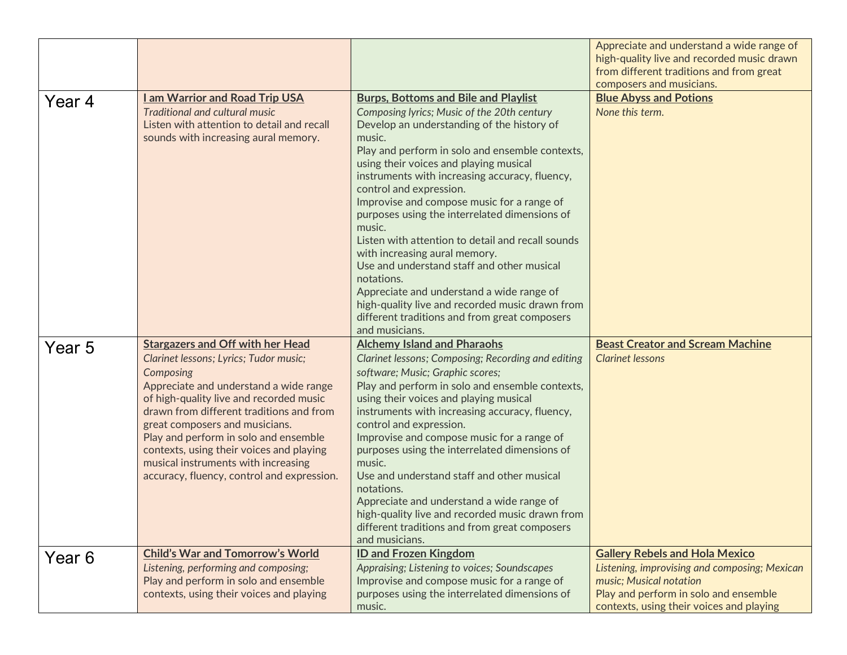|        |                                                                                     |                                                                                             | Appreciate and understand a wide range of<br>high-quality live and recorded music drawn<br>from different traditions and from great |
|--------|-------------------------------------------------------------------------------------|---------------------------------------------------------------------------------------------|-------------------------------------------------------------------------------------------------------------------------------------|
|        |                                                                                     |                                                                                             | composers and musicians.                                                                                                            |
| Year 4 | am Warrior and Road Trip USA                                                        | <b>Burps, Bottoms and Bile and Playlist</b>                                                 | <b>Blue Abyss and Potions</b>                                                                                                       |
|        | Traditional and cultural music                                                      | Composing lyrics; Music of the 20th century                                                 | None this term.                                                                                                                     |
|        | Listen with attention to detail and recall                                          | Develop an understanding of the history of                                                  |                                                                                                                                     |
|        | sounds with increasing aural memory.                                                | music.                                                                                      |                                                                                                                                     |
|        |                                                                                     | Play and perform in solo and ensemble contexts,                                             |                                                                                                                                     |
|        |                                                                                     | using their voices and playing musical<br>instruments with increasing accuracy, fluency,    |                                                                                                                                     |
|        |                                                                                     | control and expression.                                                                     |                                                                                                                                     |
|        |                                                                                     | Improvise and compose music for a range of                                                  |                                                                                                                                     |
|        |                                                                                     | purposes using the interrelated dimensions of                                               |                                                                                                                                     |
|        |                                                                                     | music.                                                                                      |                                                                                                                                     |
|        |                                                                                     | Listen with attention to detail and recall sounds                                           |                                                                                                                                     |
|        |                                                                                     | with increasing aural memory.                                                               |                                                                                                                                     |
|        |                                                                                     | Use and understand staff and other musical<br>notations.                                    |                                                                                                                                     |
|        |                                                                                     | Appreciate and understand a wide range of                                                   |                                                                                                                                     |
|        |                                                                                     | high-quality live and recorded music drawn from                                             |                                                                                                                                     |
|        |                                                                                     | different traditions and from great composers                                               |                                                                                                                                     |
|        |                                                                                     | and musicians.                                                                              |                                                                                                                                     |
| Year 5 | <b>Stargazers and Off with her Head</b>                                             | <b>Alchemy Island and Pharaohs</b>                                                          | <b>Beast Creator and Scream Machine</b>                                                                                             |
|        | Clarinet lessons; Lyrics; Tudor music;                                              | Clarinet lessons; Composing; Recording and editing                                          | <b>Clarinet lessons</b>                                                                                                             |
|        | Composing                                                                           | software; Music; Graphic scores;                                                            |                                                                                                                                     |
|        | Appreciate and understand a wide range                                              | Play and perform in solo and ensemble contexts,                                             |                                                                                                                                     |
|        | of high-quality live and recorded music<br>drawn from different traditions and from | using their voices and playing musical                                                      |                                                                                                                                     |
|        | great composers and musicians.                                                      | instruments with increasing accuracy, fluency,<br>control and expression.                   |                                                                                                                                     |
|        | Play and perform in solo and ensemble                                               | Improvise and compose music for a range of                                                  |                                                                                                                                     |
|        | contexts, using their voices and playing                                            | purposes using the interrelated dimensions of                                               |                                                                                                                                     |
|        | musical instruments with increasing                                                 | music.                                                                                      |                                                                                                                                     |
|        | accuracy, fluency, control and expression.                                          | Use and understand staff and other musical                                                  |                                                                                                                                     |
|        |                                                                                     | notations.<br>Appreciate and understand a wide range of                                     |                                                                                                                                     |
|        |                                                                                     | high-quality live and recorded music drawn from                                             |                                                                                                                                     |
|        |                                                                                     |                                                                                             |                                                                                                                                     |
|        |                                                                                     | different traditions and from great composers                                               |                                                                                                                                     |
|        |                                                                                     | and musicians.                                                                              |                                                                                                                                     |
|        | <b>Child's War and Tomorrow's World</b>                                             | <b>ID and Frozen Kingdom</b>                                                                | <b>Gallery Rebels and Hola Mexico</b>                                                                                               |
| Year 6 | Listening, performing and composing;                                                | Appraising; Listening to voices; Soundscapes                                                | Listening, improvising and composing; Mexican                                                                                       |
|        | Play and perform in solo and ensemble<br>contexts, using their voices and playing   | Improvise and compose music for a range of<br>purposes using the interrelated dimensions of | music; Musical notation<br>Play and perform in solo and ensemble                                                                    |